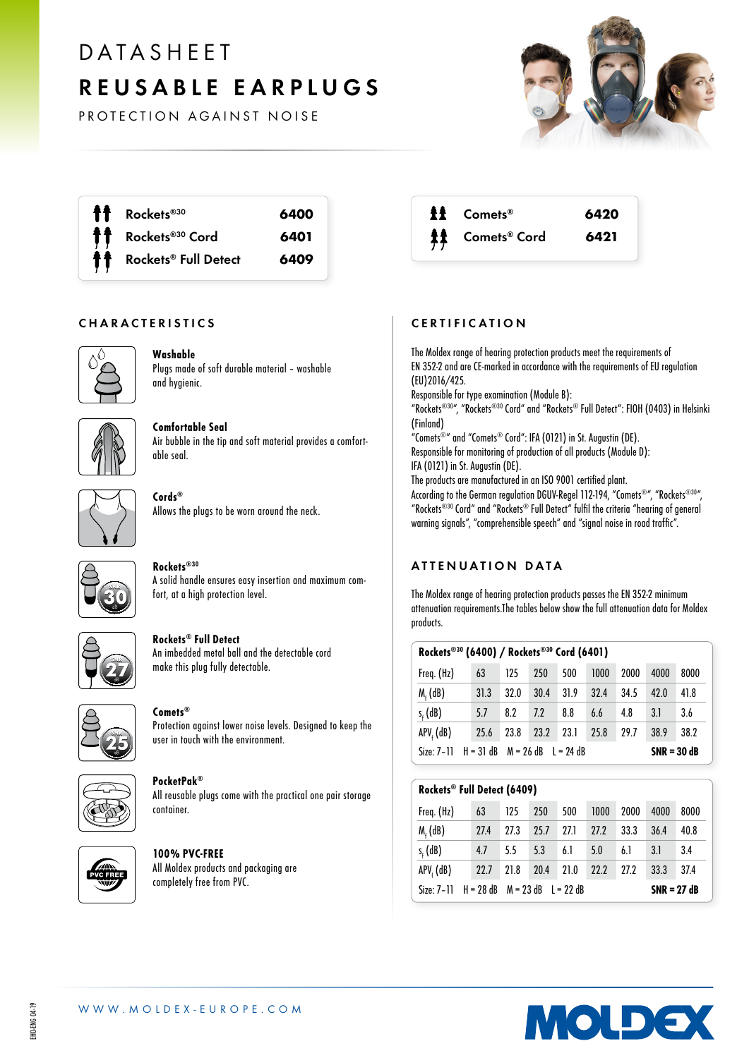# DATASHEET REUSABLE EARPLUGS

PROTECTION AGAINST NOISE



Rockets®<sup>30</sup> 6400 Rockets®<sup>30</sup> Cord 6401 Rockets<sup>®</sup> Full Detect 6409

## CHARACTERISTICS



# Washable

Plugs made of soft durable material – washable and hygienic.



### Comfortable Seal Air bubble in the tip and soft material provides a comfortable seal.



Cords® Allows the plugs to be worn around the neck.



### Rockets®30 A solid handle ensures easy insertion and maximum comfort, at a high protection level.



# Rockets® Full Detect

An imbedded metal ball and the detectable cord make this plug fully detectable.



# Comets®

Protection against lower noise levels. Designed to keep the user in touch with the environment.



#### PocketPak® All reusable plugs come with the practical one pair storage container.



100% PVC-FREE All Moldex products and packaging are completely free from PVC.

| <b>ff</b> Comets <sup>®</sup> | 6420 |
|-------------------------------|------|
| <b>其</b> Comets® Cord         | 6421 |

# CERTIFICATION

The Moldex range of hearing protection products meet the requirements of EN 352-2 and are CE-marked in accordance with the requirements of EU regulation (EU)2016/425. Responsible for type examination (Module B): "Rockets®30", "Rockets®30 Cord" and "Rockets® Full Detect": FIOH (0403) in Helsinki (Finland) "Comets®" and "Comets® Cord": IFA (0121) in St. Augustin (DE). Responsible for monitoring of production of all products (Module D): IFA (0121) in St. Augustin (DE). The products are manufactured in an ISO 9001 certified plant. According to the German regulation DGUV-Regel 112-194, "Comets®", "Rockets®30", "Rockets®30 Cord" and "Rockets® Full Detect" fulfil the criteria "hearing of general warning signals", "comprehensible speech" and "signal noise in road traffic".

# ATTENUATION DATA

The Moldex range of hearing protection products passes the EN 352-2 minimum attenuation requirements.The tables below show the full attenuation data for Moldex products.

| Rockets®30 (6400) / Rockets®30 Cord (6401)          |      |      |      |      |               |      |      |      |
|-----------------------------------------------------|------|------|------|------|---------------|------|------|------|
| Freq. (Hz)                                          | 63   | 125  | 250  | 500  | 1000          | 2000 | 4000 | 8000 |
| $M_f$ (dB)                                          | 31.3 | 32.0 | 30.4 | 31.9 | 32.4          | 34.5 | 42.0 | 41.8 |
| $s_{\epsilon}$ (dB)                                 | 5.7  | 8.2  | 7.2  | 8.8  | 6.6           | 4.8  | 3.I  | 3.6  |
| $APVf$ (dB)                                         | 25.6 | 23.8 | 23.2 | 23.1 | 25.8          | 29.7 | 38.9 | 38.2 |
| $H = 31$ dB $M = 26$ dB $L = 24$ dB<br>$Size: 7-11$ |      |      |      |      | $SNR = 30 dB$ |      |      |      |

| Rockets® Full Detect (6409) |             |      |                         |      |      |      |               |      |
|-----------------------------|-------------|------|-------------------------|------|------|------|---------------|------|
| Freq. (Hz)                  | 63          | 125  | 250                     | 500  | 1000 | 2000 | 4000          | 8000 |
| $M_f$ (dB)                  | <b>27.4</b> | 27.3 | 25.7                    | 27.1 | 77.7 | 33.3 | 36.4          | 40.8 |
| $s_{\epsilon}$ (dB)         | 4.7         | 5.5  | 5.3                     | 6.1  | 5.0  | 6.1  | 3.1           | 3.4  |
| $APVf$ (dB)                 | 22.7        | 21.8 | 20.4                    | 21.0 | 22.2 | 27.2 | 33.3          | 37.4 |
| $Size: 7-11$                | $H = 28$ dB |      | $M = 23$ dB $I = 22$ dB |      |      |      | $SNR = 27 dB$ |      |